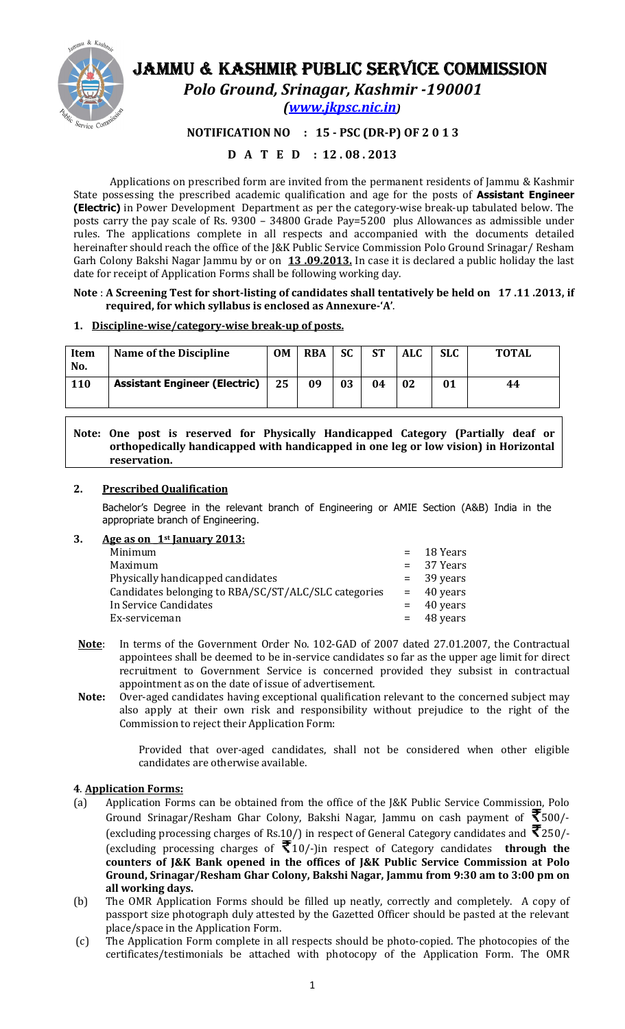

# JAMMU & KASHMIR PUBLIC SERVICE COMMISSION

Polo Ground, Srinagar, Kashmir -190001

(www.jkpsc.nic.in)

### NOTIFICATION NO : 15 - PSC (DR-P) OF 2 0 1 3

### D A T E D : 12 . 08 . 2013

Applications on prescribed form are invited from the permanent residents of Jammu & Kashmir State possessing the prescribed academic qualification and age for the posts of **Assistant Engineer** (Electric) in Power Development Department as per the category-wise break-up tabulated below. The posts carry the pay scale of Rs. 9300 – 34800 Grade Pay=5200 plus Allowances as admissible under rules. The applications complete in all respects and accompanied with the documents detailed hereinafter should reach the office of the J&K Public Service Commission Polo Ground Srinagar/ Resham Garh Colony Bakshi Nagar Jammu by or on 13.09.2013. In case it is declared a public holiday the last date for receipt of Application Forms shall be following working day.

### Note : A Screening Test for short-listing of candidates shall tentatively be held on 17 .11 .2013, if required, for which syllabus is enclosed as Annexure-'A'.

### 1. Discipline-wise/category-wise break-up of posts.

| Item<br>No. | <b>Name of the Discipline</b>        | <b>OM</b> | <b>RBA</b> | <b>SC</b> | <b>ST</b> | <b>ALC</b> | <b>SLC</b> | <b>TOTAL</b> |
|-------------|--------------------------------------|-----------|------------|-----------|-----------|------------|------------|--------------|
| <b>110</b>  | <b>Assistant Engineer (Electric)</b> | 25        | 09         | 03        | 04        | 02         | 01         | 44           |

### Note: One post is reserved for Physically Handicapped Category (Partially deaf or orthopedically handicapped with handicapped in one leg or low vision) in Horizontal reservation.

### 2. Prescribed Qualification

Bachelor's Degree in the relevant branch of Engineering or AMIE Section (A&B) India in the appropriate branch of Engineering.

### 3. Age as on  $1$ <sup>st</sup> January 2013:

| $=$ 18 Years |
|--------------|
| $= 37$ Years |
| $=$ 39 years |
| $=$ 40 years |
| $=$ 40 years |
| $=$ 48 years |
|              |

- Note: In terms of the Government Order No. 102-GAD of 2007 dated 27.01.2007, the Contractual appointees shall be deemed to be in-service candidates so far as the upper age limit for direct recruitment to Government Service is concerned provided they subsist in contractual appointment as on the date of issue of advertisement.
- Note: Over-aged candidates having exceptional qualification relevant to the concerned subject may also apply at their own risk and responsibility without prejudice to the right of the Commission to reject their Application Form:

Provided that over-aged candidates, shall not be considered when other eligible candidates are otherwise available.

### 4. Application Forms:

- (a) Application Forms can be obtained from the office of the J&K Public Service Commission, Polo Ground Srinagar/Resham Ghar Colony, Bakshi Nagar, Jammu on cash payment of  $\bar{\mathfrak{T}}$ 500/-(excluding processing charges of Rs.10/) in respect of General Category candidates and  $\bar{\mathbf{\mathsf{7}}}$ 250/-(excluding processing charges of  $\bar{\mathfrak{F}}$ 10/-)in respect of Category candidates **through the** counters of J&K Bank opened in the offices of J&K Public Service Commission at Polo Ground, Srinagar/Resham Ghar Colony, Bakshi Nagar, Jammu from 9:30 am to 3:00 pm on all working days.
- (b) The OMR Application Forms should be filled up neatly, correctly and completely. A copy of passport size photograph duly attested by the Gazetted Officer should be pasted at the relevant place/space in the Application Form.
- (c) The Application Form complete in all respects should be photo-copied. The photocopies of the certificates/testimonials be attached with photocopy of the Application Form. The OMR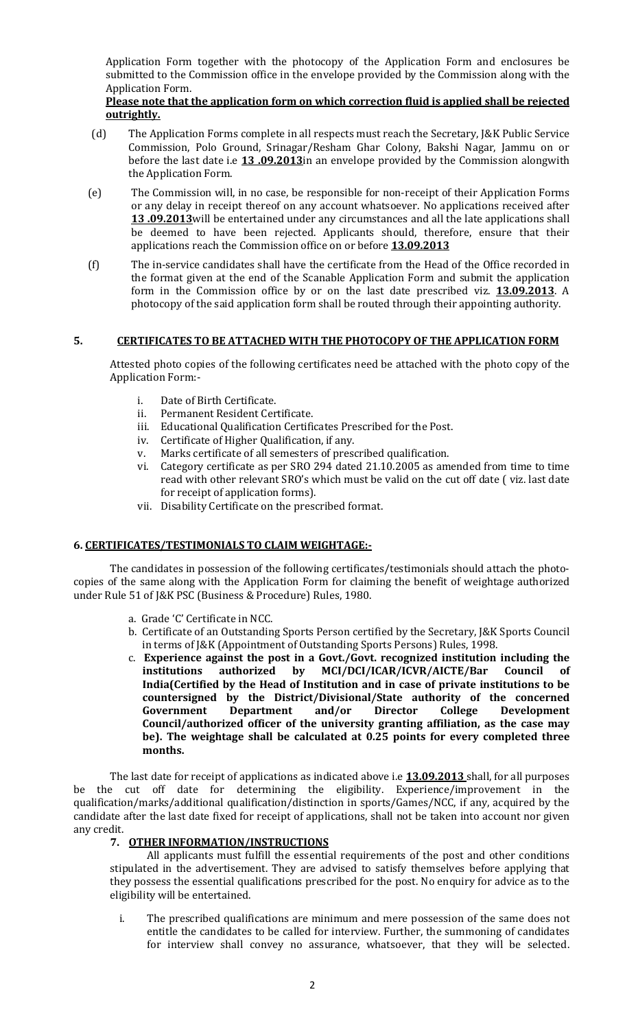Application Form together with the photocopy of the Application Form and enclosures be submitted to the Commission office in the envelope provided by the Commission along with the Application Form.

### Please note that the application form on which correction fluid is applied shall be rejected outrightly.

- (d) The Application Forms complete in all respects must reach the Secretary, J&K Public Service Commission, Polo Ground, Srinagar/Resham Ghar Colony, Bakshi Nagar, Jammu on or before the last date i.e 13 .09.2013 in an envelope provided by the Commission alongwith the Application Form.
- (e) The Commission will, in no case, be responsible for non-receipt of their Application Forms or any delay in receipt thereof on any account whatsoever. No applications received after 13.09.2013 will be entertained under any circumstances and all the late applications shall be deemed to have been rejected. Applicants should, therefore, ensure that their applications reach the Commission office on or before 13.09.2013
- (f) The in-service candidates shall have the certificate from the Head of the Office recorded in the format given at the end of the Scanable Application Form and submit the application form in the Commission office by or on the last date prescribed viz. 13.09.2013. A photocopy of the said application form shall be routed through their appointing authority.

### 5. CERTIFICATES TO BE ATTACHED WITH THE PHOTOCOPY OF THE APPLICATION FORM

Attested photo copies of the following certificates need be attached with the photo copy of the Application Form:-

- i. Date of Birth Certificate.
- ii. Permanent Resident Certificate.
- iii. Educational Qualification Certificates Prescribed for the Post.
- iv. Certificate of Higher Qualification, if any.
- v. Marks certificate of all semesters of prescribed qualification.
- vi. Category certificate as per SRO 294 dated 21.10.2005 as amended from time to time read with other relevant SRO's which must be valid on the cut off date ( viz. last date for receipt of application forms).
- vii. Disability Certificate on the prescribed format.

### 6. CERTIFICATES/TESTIMONIALS TO CLAIM WEIGHTAGE:-

The candidates in possession of the following certificates/testimonials should attach the photocopies of the same along with the Application Form for claiming the benefit of weightage authorized under Rule 51 of J&K PSC (Business & Procedure) Rules, 1980.

- a. Grade 'C' Certificate in NCC.
- b. Certificate of an Outstanding Sports Person certified by the Secretary, J&K Sports Council in terms of J&K (Appointment of Outstanding Sports Persons) Rules, 1998.
- c. Experience against the post in a Govt./Govt. recognized institution including the institutions authorized by MCI/DCI/ICAR/ICVR/AICTE/Bar Council of India(Certified by the Head of Institution and in case of private institutions to be countersigned by the District/Divisional/State authority of the concerned Government Department and/or Director College Development Council/authorized officer of the university granting affiliation, as the case may be). The weightage shall be calculated at 0.25 points for every completed three months.

The last date for receipt of applications as indicated above i.e 13.09.2013 shall, for all purposes be the cut off date for determining the eligibility. Experience/improvement in the qualification/marks/additional qualification/distinction in sports/Games/NCC, if any, acquired by the candidate after the last date fixed for receipt of applications, shall not be taken into account nor given any credit.

### 7. OTHER INFORMATION/INSTRUCTIONS

All applicants must fulfill the essential requirements of the post and other conditions stipulated in the advertisement. They are advised to satisfy themselves before applying that they possess the essential qualifications prescribed for the post. No enquiry for advice as to the eligibility will be entertained.

i. The prescribed qualifications are minimum and mere possession of the same does not entitle the candidates to be called for interview. Further, the summoning of candidates for interview shall convey no assurance, whatsoever, that they will be selected.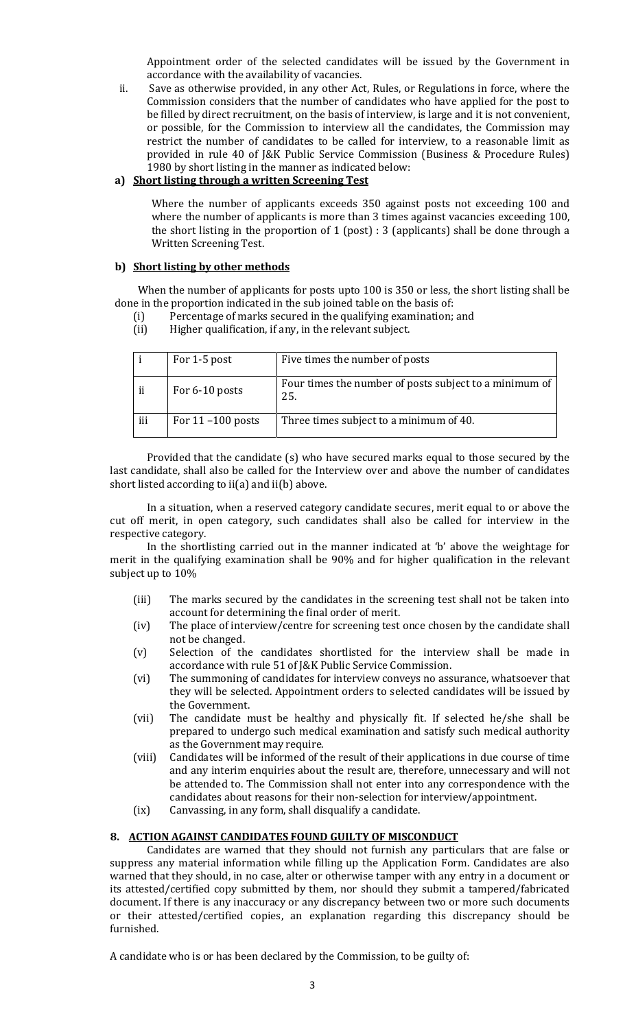Appointment order of the selected candidates will be issued by the Government in accordance with the availability of vacancies.

ii. Save as otherwise provided, in any other Act, Rules, or Regulations in force, where the Commission considers that the number of candidates who have applied for the post to be filled by direct recruitment, on the basis of interview, is large and it is not convenient, or possible, for the Commission to interview all the candidates, the Commission may restrict the number of candidates to be called for interview, to a reasonable limit as provided in rule 40 of J&K Public Service Commission (Business & Procedure Rules) 1980 by short listing in the manner as indicated below:

### a) Short listing through a written Screening Test

Where the number of applicants exceeds 350 against posts not exceeding 100 and where the number of applicants is more than 3 times against vacancies exceeding 100, the short listing in the proportion of 1 (post) : 3 (applicants) shall be done through a Written Screening Test.

### b) Short listing by other methods

 When the number of applicants for posts upto 100 is 350 or less, the short listing shall be done in the proportion indicated in the sub joined table on the basis of:

- (i) Percentage of marks secured in the qualifying examination; and
- (ii) Higher qualification, if any, in the relevant subject.

|     | For 1-5 post         | Five times the number of posts                                |
|-----|----------------------|---------------------------------------------------------------|
| ii  | For 6-10 posts       | Four times the number of posts subject to a minimum of<br>25. |
| iii | For $11 - 100$ posts | Three times subject to a minimum of 40.                       |

Provided that the candidate (s) who have secured marks equal to those secured by the last candidate, shall also be called for the Interview over and above the number of candidates short listed according to ii(a) and ii(b) above.

In a situation, when a reserved category candidate secures, merit equal to or above the cut off merit, in open category, such candidates shall also be called for interview in the respective category.

In the shortlisting carried out in the manner indicated at 'b' above the weightage for merit in the qualifying examination shall be 90% and for higher qualification in the relevant subject up to 10%

- (iii) The marks secured by the candidates in the screening test shall not be taken into account for determining the final order of merit.
- (iv) The place of interview/centre for screening test once chosen by the candidate shall not be changed.
- (v) Selection of the candidates shortlisted for the interview shall be made in accordance with rule 51 of J&K Public Service Commission.
- (vi) The summoning of candidates for interview conveys no assurance, whatsoever that they will be selected. Appointment orders to selected candidates will be issued by the Government.
- (vii) The candidate must be healthy and physically fit. If selected he/she shall be prepared to undergo such medical examination and satisfy such medical authority as the Government may require.
- (viii) Candidates will be informed of the result of their applications in due course of time and any interim enquiries about the result are, therefore, unnecessary and will not be attended to. The Commission shall not enter into any correspondence with the candidates about reasons for their non-selection for interview/appointment.
- (ix) Canvassing, in any form, shall disqualify a candidate.

#### 8. ACTION AGAINST CANDIDATES FOUND GUILTY OF MISCONDUCT

Candidates are warned that they should not furnish any particulars that are false or suppress any material information while filling up the Application Form. Candidates are also warned that they should, in no case, alter or otherwise tamper with any entry in a document or its attested/certified copy submitted by them, nor should they submit a tampered/fabricated document. If there is any inaccuracy or any discrepancy between two or more such documents or their attested/certified copies, an explanation regarding this discrepancy should be furnished.

A candidate who is or has been declared by the Commission, to be guilty of: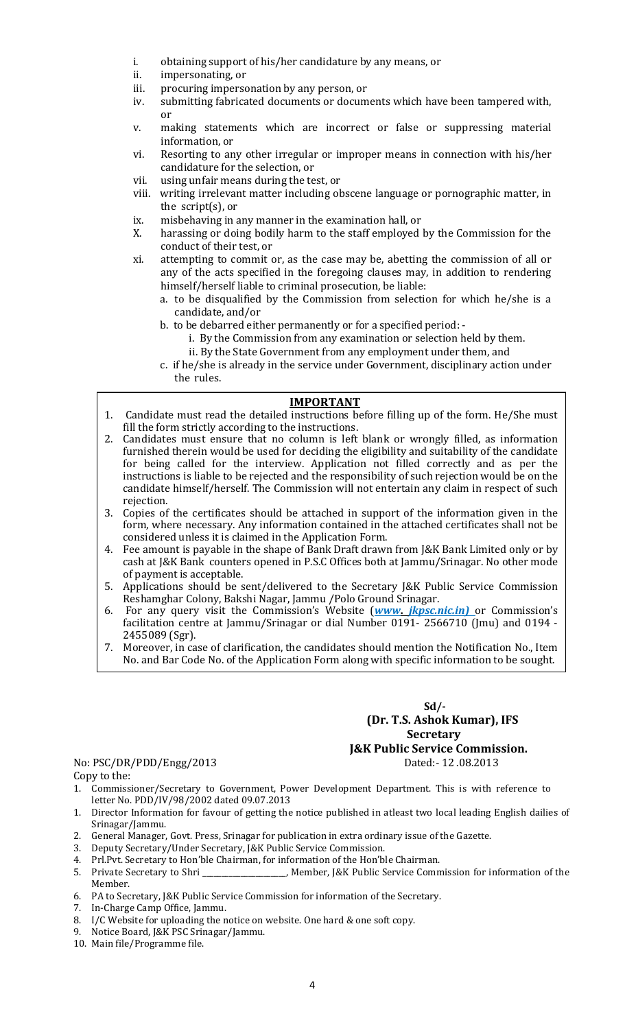- i. obtaining support of his/her candidature by any means, or
- ii. impersonating, or
- iii. procuring impersonation by any person, or
- iv. submitting fabricated documents or documents which have been tampered with, or
- v. making statements which are incorrect or false or suppressing material information, or
- vi. Resorting to any other irregular or improper means in connection with his/her candidature for the selection, or
- vii. using unfair means during the test, or
- viii. writing irrelevant matter including obscene language or pornographic matter, in the script(s), or
- ix. misbehaving in any manner in the examination hall, or
- X. harassing or doing bodily harm to the staff employed by the Commission for the conduct of their test, or
- xi. attempting to commit or, as the case may be, abetting the commission of all or any of the acts specified in the foregoing clauses may, in addition to rendering himself/herself liable to criminal prosecution, be liable:
	- a. to be disqualified by the Commission from selection for which he/she is a candidate, and/or
	- b. to be debarred either permanently or for a specified period:
		- i. By the Commission from any examination or selection held by them.
	- ii. By the State Government from any employment under them, and c. if he/she is already in the service under Government, disciplinary action under
		- the rules.

### IMPORTANT

- 1. Candidate must read the detailed instructions before filling up of the form. He/She must fill the form strictly according to the instructions.
- 2. Candidates must ensure that no column is left blank or wrongly filled, as information furnished therein would be used for deciding the eligibility and suitability of the candidate for being called for the interview. Application not filled correctly and as per the instructions is liable to be rejected and the responsibility of such rejection would be on the candidate himself/herself. The Commission will not entertain any claim in respect of such rejection.
- 3. Copies of the certificates should be attached in support of the information given in the form, where necessary. Any information contained in the attached certificates shall not be considered unless it is claimed in the Application Form.
- 4. Fee amount is payable in the shape of Bank Draft drawn from J&K Bank Limited only or by cash at J&K Bank counters opened in P.S.C Offices both at Jammu/Srinagar. No other mode of payment is acceptable.
- 5. Applications should be sent/delivered to the Secretary J&K Public Service Commission Reshamghar Colony, Bakshi Nagar, Jammu /Polo Ground Srinagar.
- 6. For any query visit the Commission's Website (**www. jkpsc.nic.in**) or Commission's facilitation centre at Jammu/Srinagar or dial Number 0191- 2566710 (Jmu) and 0194 - 2455089 (Sgr).
- 7. Moreover, in case of clarification, the candidates should mention the Notification No., Item No. and Bar Code No. of the Application Form along with specific information to be sought.

## $Sd$ - (Dr. T.S. Ashok Kumar), IFS Secretary **J&K Public Service Commission.**<br>Dated:- 12 .08.2013

# No: PSC/DR/PDD/Engg/2013

Copy to the:

- 1. Commissioner/Secretary to Government, Power Development Department. This is with reference to letter No. PDD/IV/98/2002 dated 09.07.2013
- 1. Director Information for favour of getting the notice published in atleast two local leading English dailies of Srinagar/Jammu.
- 2. General Manager, Govt. Press, Srinagar for publication in extra ordinary issue of the Gazette.
- 3. Deputy Secretary/Under Secretary, J&K Public Service Commission.
- 4. Prl.Pvt. Secretary to Hon'ble Chairman, for information of the Hon'ble Chairman.
- 5. Private Secretary to Shri \_\_\_\_\_\_\_\_\_\_\_\_\_\_\_\_\_\_\_\_\_\_, Member, J&K Public Service Commission for information of the Member.
- 6. PA to Secretary, J&K Public Service Commission for information of the Secretary.
- 7. In-Charge Camp Office, Jammu.
- 8. I/C Website for uploading the notice on website. One hard & one soft copy.
- 9. Notice Board, J&K PSC Srinagar/Jammu.
- 10. Main file/Programme file.